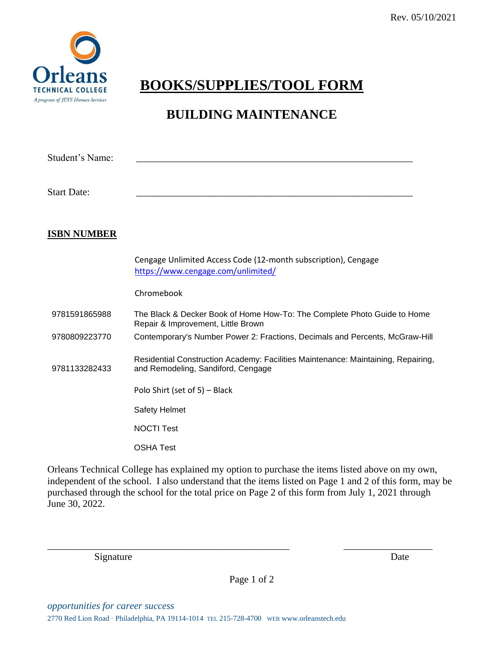

## **BOOKS/SUPPLIES/TOOL FORM**

## **BUILDING MAINTENANCE**

| Student's Name:    |                                                                                                                         |
|--------------------|-------------------------------------------------------------------------------------------------------------------------|
| <b>Start Date:</b> |                                                                                                                         |
| <b>ISBN NUMBER</b> |                                                                                                                         |
|                    | Cengage Unlimited Access Code (12-month subscription), Cengage<br>https://www.cengage.com/unlimited/                    |
|                    | Chromebook                                                                                                              |
| 9781591865988      | The Black & Decker Book of Home How-To: The Complete Photo Guide to Home<br>Repair & Improvement, Little Brown          |
| 9780809223770      | Contemporary's Number Power 2: Fractions, Decimals and Percents, McGraw-Hill                                            |
| 9781133282433      | Residential Construction Academy: Facilities Maintenance: Maintaining, Repairing,<br>and Remodeling, Sandiford, Cengage |
|                    | Polo Shirt (set of 5) - Black                                                                                           |
|                    | Safety Helmet                                                                                                           |
|                    | <b>NOCTI Test</b>                                                                                                       |
|                    | <b>OSHA Test</b>                                                                                                        |

Orleans Technical College has explained my option to purchase the items listed above on my own, independent of the school. I also understand that the items listed on Page 1 and 2 of this form, may be purchased through the school for the total price on Page 2 of this form from July 1, 2021 through June 30, 2022.

Signature Date

Page 1 of 2

\_\_\_\_\_\_\_\_\_\_\_\_\_\_\_\_\_\_\_\_\_\_\_\_\_\_\_\_\_\_\_\_\_\_\_\_\_\_\_\_\_\_\_\_\_\_\_\_\_ \_\_\_\_\_\_\_\_\_\_\_\_\_\_\_\_\_\_